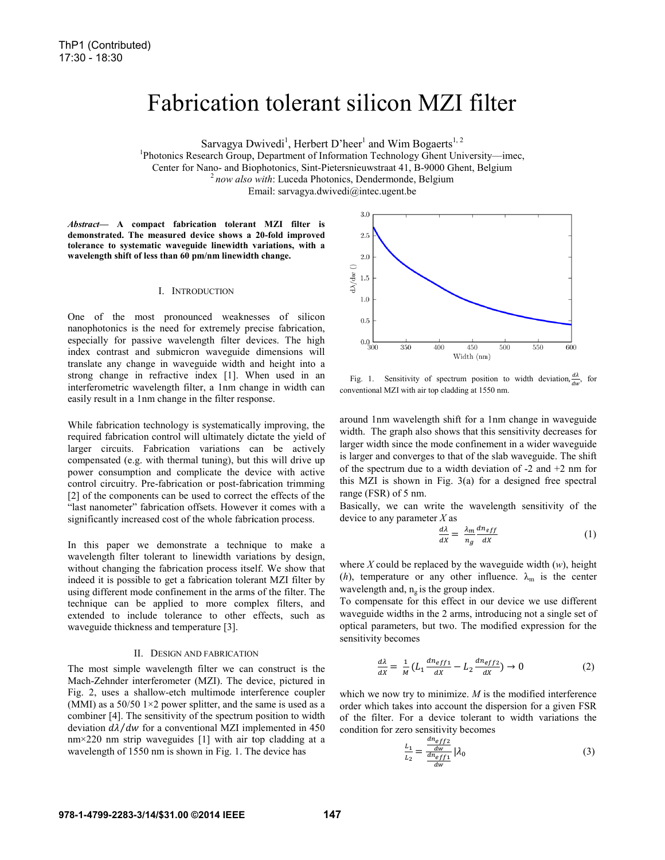# Fabrication tolerant silicon MZI filter

Dwivedi<sup>1</sup>, Herbert D'heer<sup>1</sup> and Wim Bogaerts<sup>1, 2</sup>

Sarvagya Dwivedi<sup>1</sup>, Herbert D'heer<sup>1</sup> and Wim Bogaerts<sup>1, 2</sup><br><sup>1</sup> Photonics Research Group, Department of Information Technology Ghent University—imec,

Center for Nano- and Biophotonics, Sint-Pietersnieuwstraat 41, B-9000 Ghent, Belgium<br><sup>2</sup>*now also with*: Luceda Photonics, Dendermonde, Belgium

<sup>2</sup> now also with: Luceda Photonics, Dendermonde, Belgium

E Email: sarvagya.dwivedi@intec.ugent.be

Abstract— A compact fabrication tolerant MZI filter is **demonstrated. The measured device shows a 20-fold improved**  tolerance to systematic waveguide linewidth variations, with a wavelength shift of less than 60 pm/nm linewidth change.

#### I. INTRODUCTION

One of the most pronounced weakne sses of silicon nanophotonics is the need for extremely precise fabrication, especially for passive wavelength filter devices. The high index contrast and submicron waveguide dimensions will translate any change in waveguide width and height into a strong change in refractive index [1]. When used in an interferometric wavelength filter, a 1nm change in width can easily result in a 1nm change in the filter response.

While fabrication technology is systematically improving, the required fabrication control will ultimately dictate the yield of larger circuits. Fabrication variations can be actively compensated (e.g. with thermal tuning), but this will drive up power consumption and complicate the device with active control circuitry. Pre-fabrication or post-fabrication trimming [2] of the components can be used to correct the effects of the "last nanometer" fabrication offsets. However it comes with a significantly increased cost of the whole fabrication process.

In this paper we demonstrate a technique to make a wavelength filter tolerant to linewidth variations by design, without changing the fabrication process itself. We show that indeed it is possible to get a fabrication tolerant MZI filter by using different mode confinement in the arms s of the filter. The technique can be applied to more complex filters, and extended to include tolerance to other effects, such as waveguide thickness and temperature [3].

#### II. DESIGN AND FABRICATION

The most simple wavelength filter we can construct is the Mach-Zehnder interferometer (MZI). The device, pictured in Fig. 2, uses a shallow-etch multimode interference coupler (MMI) as a  $50/50$  1 $\times$ 2 power splitter, and the same is used as a combiner [4]. The sensitivity of the spectrum position to width deviation  $d\lambda/dw$  for a conventional MZI implemented in 450  $nm \times 220$  nm strip waveguides [1] with air top cladding at a wavelength of 1550 nm is shown in Fig. 1. The device has



Fig. 1. Sensitivity of spectrum position to width deviation,  $\frac{d\lambda}{dw}$ , for conventional MZI with air top cladding at 15 50 nm.

around 1nm wavelength shift for a 1nm change in waveguide width. The graph also shows that this sensitivity decreases for larger width since the mode confinement in a wider waveguide is larger and converges to that of the slab waveguide. The shift of the spectrum due to a width deviation of  $-2$  and  $+2$  nm for this MZI is shown in Fig. 3(a) fo r a designed free spectral range (FSR) of 5 nm.

Basically, we can write the wavelength sensitivity of the device to any parameter *X* as

$$
\frac{d\lambda}{dx} = \frac{\lambda_m}{n_g} \frac{dn_{eff}}{dx} \tag{1}
$$

where *X* could be replaced by the w aveguide width (*w*), height (*h*), temperature or any other influence.  $\lambda_m$  is the center wavelength and,  $n_g$  is the group index.

To compensate for this effect in our device we use different waveguide widths in the 2 arms, introducing not a single set of optical parameters, but two. The m modified expression for the sensitivity becomes

$$
\frac{d\lambda}{dx} = \frac{1}{M} \left( L_1 \frac{dn_{eff1}}{dx} - L_2 \frac{dn_{eff2}}{dx} \right) \to 0 \tag{2}
$$

which we now try to minimize.  $M$  is the modified interference order which takes into account the d dispersion for a given FSR of the filter. For a device tolerant to width variations the condition for zero sensitivity becomes

$$
\frac{L_1}{L_2} = \frac{\frac{dn_{eff2}}{dw_{eff1}}}{\frac{dn_{eff1}}{dw}} \Big| \lambda_0 \tag{3}
$$